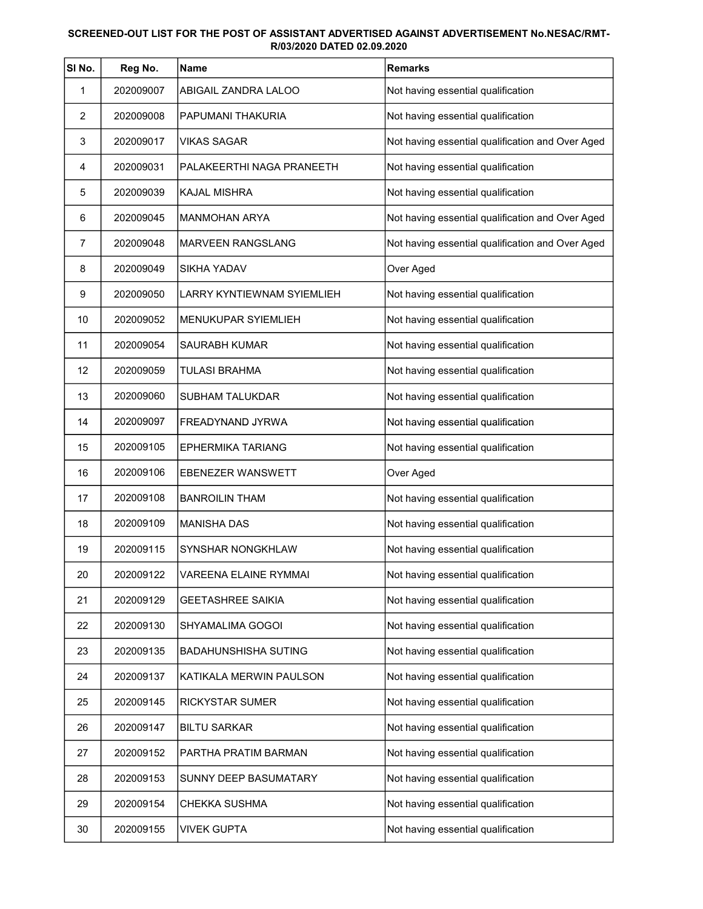## SCREENED-OUT LIST FOR THE POST OF ASSISTANT ADVERTISED AGAINST ADVERTISEMENT No.NESAC/RMT-R/03/2020 DATED 02.09.2020

| SINo. | Reg No.   | Name                              | <b>Remarks</b>                                   |
|-------|-----------|-----------------------------------|--------------------------------------------------|
| 1     | 202009007 | ABIGAIL ZANDRA LALOO              | Not having essential qualification               |
| 2     | 202009008 | PAPUMANI THAKURIA                 | Not having essential qualification               |
| 3     | 202009017 | <b>VIKAS SAGAR</b>                | Not having essential qualification and Over Aged |
| 4     | 202009031 | PALAKEERTHI NAGA PRANEETH         | Not having essential qualification               |
| 5     | 202009039 | <b>KAJAL MISHRA</b>               | Not having essential qualification               |
| 6     | 202009045 | <b>MANMOHAN ARYA</b>              | Not having essential qualification and Over Aged |
| 7     | 202009048 | MARVEEN RANGSLANG                 | Not having essential qualification and Over Aged |
| 8     | 202009049 | <b>SIKHA YADAV</b>                | Over Aged                                        |
| 9     | 202009050 | <b>LARRY KYNTIEWNAM SYIEMLIEH</b> | Not having essential qualification               |
| 10    | 202009052 | MENUKUPAR SYIEMLIEH               | Not having essential qualification               |
| 11    | 202009054 | SAURABH KUMAR                     | Not having essential qualification               |
| 12    | 202009059 | <b>TULASI BRAHMA</b>              | Not having essential qualification               |
| 13    | 202009060 | <b>SUBHAM TALUKDAR</b>            | Not having essential qualification               |
| 14    | 202009097 | FREADYNAND JYRWA                  | Not having essential qualification               |
| 15    | 202009105 | <b>EPHERMIKA TARIANG</b>          | Not having essential qualification               |
| 16    | 202009106 | <b>EBENEZER WANSWETT</b>          | Over Aged                                        |
| 17    | 202009108 | <b>BANROILIN THAM</b>             | Not having essential qualification               |
| 18    | 202009109 | <b>MANISHA DAS</b>                | Not having essential qualification               |
| 19    | 202009115 | <b>SYNSHAR NONGKHLAW</b>          | Not having essential qualification               |
| 20    | 202009122 | <b>VAREENA ELAINE RYMMAI</b>      | Not having essential qualification               |
| 21    | 202009129 | <b>GEETASHREE SAIKIA</b>          | Not having essential qualification               |
| 22    | 202009130 | SHYAMALIMA GOGOI                  | Not having essential qualification               |
| 23    | 202009135 | <b>BADAHUNSHISHA SUTING</b>       | Not having essential qualification               |
| 24    | 202009137 | KATIKALA MERWIN PAULSON           | Not having essential qualification               |
| 25    | 202009145 | RICKYSTAR SUMER                   | Not having essential qualification               |
| 26    | 202009147 | <b>BILTU SARKAR</b>               | Not having essential qualification               |
| 27    | 202009152 | PARTHA PRATIM BARMAN              | Not having essential qualification               |
| 28    | 202009153 | SUNNY DEEP BASUMATARY             | Not having essential qualification               |
| 29    | 202009154 | <b>CHEKKA SUSHMA</b>              | Not having essential qualification               |
| 30    | 202009155 | <b>VIVEK GUPTA</b>                | Not having essential qualification               |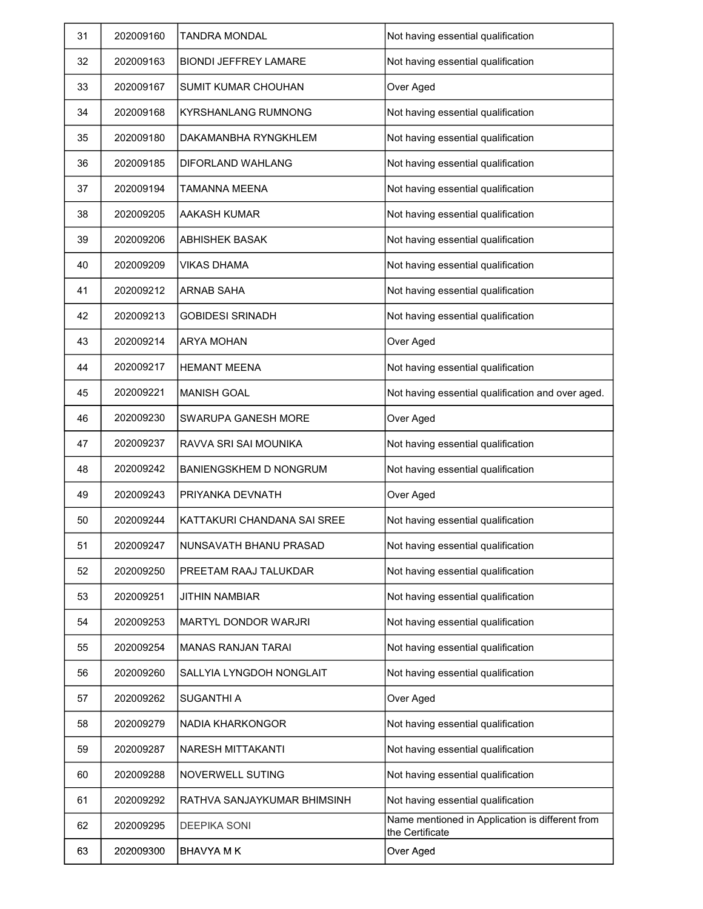| 31 | 202009160 | <b>TANDRA MONDAL</b>          | Not having essential qualification                                 |
|----|-----------|-------------------------------|--------------------------------------------------------------------|
| 32 | 202009163 | <b>BIONDI JEFFREY LAMARE</b>  | Not having essential qualification                                 |
| 33 | 202009167 | <b>SUMIT KUMAR CHOUHAN</b>    | Over Aged                                                          |
| 34 | 202009168 | <b>KYRSHANLANG RUMNONG</b>    | Not having essential qualification                                 |
| 35 | 202009180 | DAKAMANBHA RYNGKHLEM          | Not having essential qualification                                 |
| 36 | 202009185 | <b>DIFORLAND WAHLANG</b>      | Not having essential qualification                                 |
| 37 | 202009194 | TAMANNA MEENA                 | Not having essential qualification                                 |
| 38 | 202009205 | AAKASH KUMAR                  | Not having essential qualification                                 |
| 39 | 202009206 | <b>ABHISHEK BASAK</b>         | Not having essential qualification                                 |
| 40 | 202009209 | VIKAS DHAMA                   | Not having essential qualification                                 |
| 41 | 202009212 | <b>ARNAB SAHA</b>             | Not having essential qualification                                 |
| 42 | 202009213 | <b>GOBIDESI SRINADH</b>       | Not having essential qualification                                 |
| 43 | 202009214 | <b>ARYA MOHAN</b>             | Over Aged                                                          |
| 44 | 202009217 | <b>HEMANT MEENA</b>           | Not having essential qualification                                 |
| 45 | 202009221 | <b>MANISH GOAL</b>            | Not having essential qualification and over aged.                  |
| 46 | 202009230 | <b>SWARUPA GANESH MORE</b>    | Over Aged                                                          |
| 47 | 202009237 | RAVVA SRI SAI MOUNIKA         | Not having essential qualification                                 |
| 48 | 202009242 | <b>BANIENGSKHEM D NONGRUM</b> | Not having essential qualification                                 |
| 49 | 202009243 | PRIYANKA DEVNATH              | Over Aged                                                          |
| 50 | 202009244 | KATTAKURI CHANDANA SAI SREE   | Not having essential qualification                                 |
| 51 | 202009247 | NUNSAVATH BHANU PRASAD        | Not having essential qualification                                 |
| 52 | 202009250 | PREETAM RAAJ TALUKDAR         | Not having essential qualification                                 |
| 53 | 202009251 | JITHIN NAMBIAR                | Not having essential qualification                                 |
| 54 | 202009253 | <b>MARTYL DONDOR WARJRI</b>   | Not having essential qualification                                 |
| 55 | 202009254 | <b>MANAS RANJAN TARAI</b>     | Not having essential qualification                                 |
| 56 | 202009260 | SALLYIA LYNGDOH NONGLAIT      | Not having essential qualification                                 |
| 57 | 202009262 | <b>SUGANTHI A</b>             | Over Aged                                                          |
| 58 | 202009279 | NADIA KHARKONGOR              | Not having essential qualification                                 |
| 59 | 202009287 | <b>NARESH MITTAKANTI</b>      | Not having essential qualification                                 |
| 60 | 202009288 | NOVERWELL SUTING              | Not having essential qualification                                 |
| 61 | 202009292 | RATHVA SANJAYKUMAR BHIMSINH   | Not having essential qualification                                 |
| 62 | 202009295 | <b>DEEPIKA SONI</b>           | Name mentioned in Application is different from<br>the Certificate |
| 63 | 202009300 | <b>BHAVYA M K</b>             | Over Aged                                                          |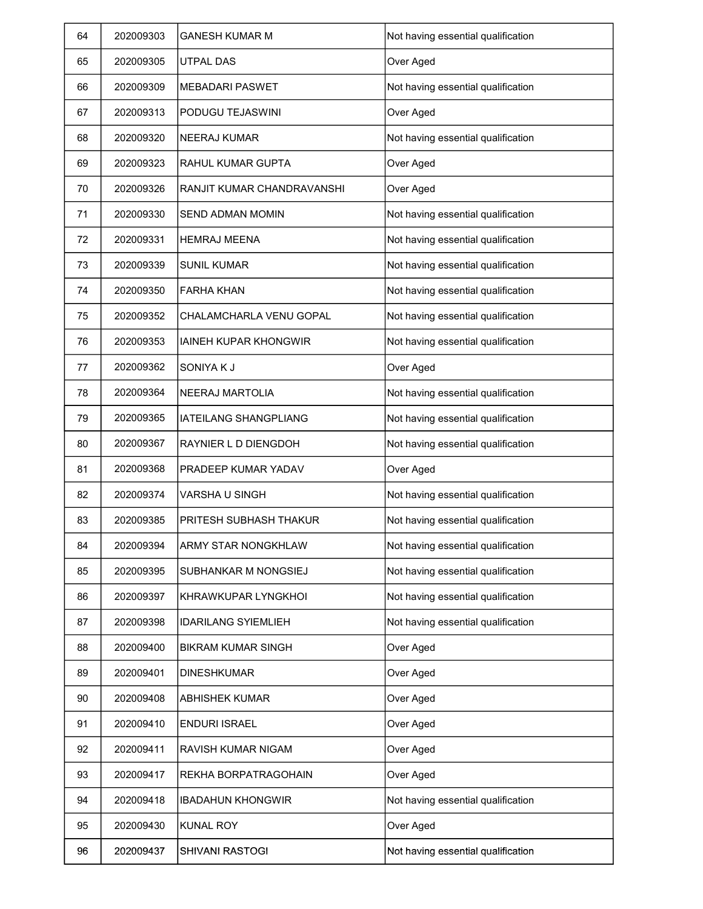| 64 | 202009303 | <b>GANESH KUMAR M</b>        | Not having essential qualification |
|----|-----------|------------------------------|------------------------------------|
| 65 | 202009305 | UTPAL DAS                    | Over Aged                          |
| 66 | 202009309 | <b>MEBADARI PASWET</b>       | Not having essential qualification |
| 67 | 202009313 | PODUGU TEJASWINI             | Over Aged                          |
| 68 | 202009320 | <b>NEERAJ KUMAR</b>          | Not having essential qualification |
| 69 | 202009323 | RAHUL KUMAR GUPTA            | Over Aged                          |
| 70 | 202009326 | RANJIT KUMAR CHANDRAVANSHI   | Over Aged                          |
| 71 | 202009330 | <b>SEND ADMAN MOMIN</b>      | Not having essential qualification |
| 72 | 202009331 | <b>HEMRAJ MEENA</b>          | Not having essential qualification |
| 73 | 202009339 | <b>SUNIL KUMAR</b>           | Not having essential qualification |
| 74 | 202009350 | <b>FARHA KHAN</b>            | Not having essential qualification |
| 75 | 202009352 | CHALAMCHARLA VENU GOPAL      | Not having essential qualification |
| 76 | 202009353 | <b>IAINEH KUPAR KHONGWIR</b> | Not having essential qualification |
| 77 | 202009362 | SONIYA K J                   | Over Aged                          |
| 78 | 202009364 | <b>NEERAJ MARTOLIA</b>       | Not having essential qualification |
| 79 | 202009365 | <b>IATEILANG SHANGPLIANG</b> | Not having essential qualification |
| 80 | 202009367 | RAYNIER L D DIENGDOH         | Not having essential qualification |
| 81 | 202009368 | PRADEEP KUMAR YADAV          | Over Aged                          |
| 82 | 202009374 | VARSHA U SINGH               | Not having essential qualification |
| 83 | 202009385 | PRITESH SUBHASH THAKUR       | Not having essential qualification |
| 84 | 202009394 | ARMY STAR NONGKHLAW          | Not having essential qualification |
| 85 | 202009395 | SUBHANKAR M NONGSIEJ         | Not having essential qualification |
| 86 | 202009397 | KHRAWKUPAR LYNGKHOI          | Not having essential qualification |
| 87 | 202009398 | <b>IDARILANG SYIEMLIEH</b>   | Not having essential qualification |
| 88 | 202009400 | <b>BIKRAM KUMAR SINGH</b>    | Over Aged                          |
| 89 | 202009401 | <b>DINESHKUMAR</b>           | Over Aged                          |
| 90 | 202009408 | ABHISHEK KUMAR               | Over Aged                          |
| 91 | 202009410 | <b>ENDURI ISRAEL</b>         | Over Aged                          |
| 92 | 202009411 | <b>RAVISH KUMAR NIGAM</b>    | Over Aged                          |
| 93 | 202009417 | REKHA BORPATRAGOHAIN         | Over Aged                          |
| 94 | 202009418 | <b>IBADAHUN KHONGWIR</b>     | Not having essential qualification |
| 95 | 202009430 | <b>KUNAL ROY</b>             | Over Aged                          |
| 96 | 202009437 | <b>SHIVANI RASTOGI</b>       | Not having essential qualification |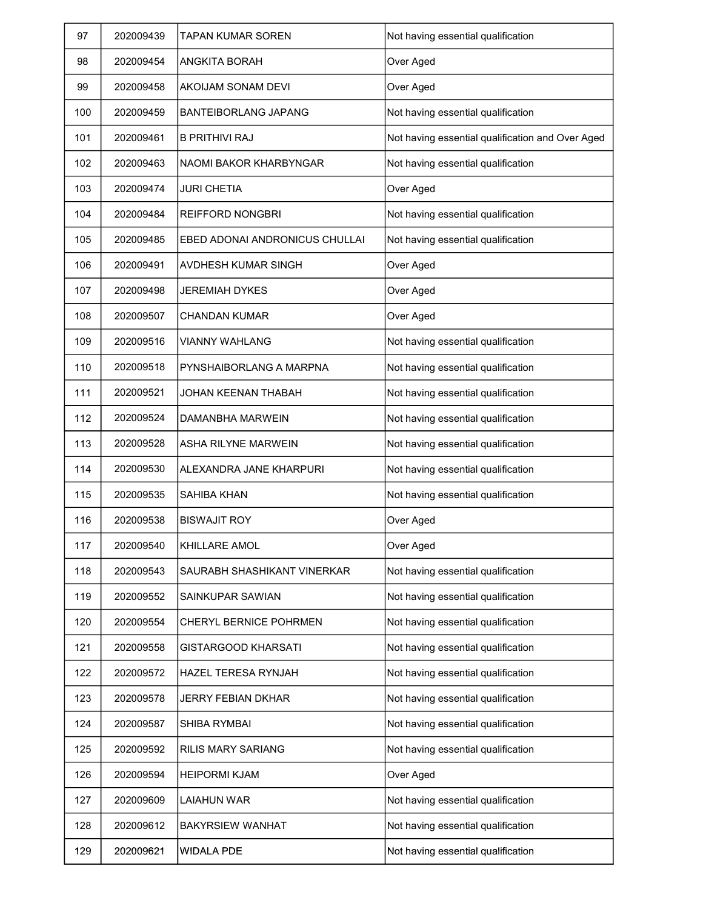| 97  | 202009439 | <b>TAPAN KUMAR SOREN</b>       | Not having essential qualification               |
|-----|-----------|--------------------------------|--------------------------------------------------|
| 98  | 202009454 | <b>ANGKITA BORAH</b>           | Over Aged                                        |
| 99  | 202009458 | AKOIJAM SONAM DEVI             | Over Aged                                        |
| 100 | 202009459 | <b>BANTEIBORLANG JAPANG</b>    | Not having essential qualification               |
| 101 | 202009461 | <b>B PRITHIVI RAJ</b>          | Not having essential qualification and Over Aged |
| 102 | 202009463 | NAOMI BAKOR KHARBYNGAR         | Not having essential qualification               |
| 103 | 202009474 | <b>JURI CHETIA</b>             | Over Aged                                        |
| 104 | 202009484 | <b>REIFFORD NONGBRI</b>        | Not having essential qualification               |
| 105 | 202009485 | EBED ADONAI ANDRONICUS CHULLAI | Not having essential qualification               |
| 106 | 202009491 | AVDHESH KUMAR SINGH            | Over Aged                                        |
| 107 | 202009498 | <b>JEREMIAH DYKES</b>          | Over Aged                                        |
| 108 | 202009507 | <b>CHANDAN KUMAR</b>           | Over Aged                                        |
| 109 | 202009516 | <b>VIANNY WAHLANG</b>          | Not having essential qualification               |
| 110 | 202009518 | PYNSHAIBORLANG A MARPNA        | Not having essential qualification               |
| 111 | 202009521 | JOHAN KEENAN THABAH            | Not having essential qualification               |
| 112 | 202009524 | DAMANBHA MARWEIN               | Not having essential qualification               |
| 113 | 202009528 | <b>ASHA RILYNE MARWEIN</b>     | Not having essential qualification               |
| 114 | 202009530 | ALEXANDRA JANE KHARPURI        | Not having essential qualification               |
| 115 | 202009535 | <b>SAHIBA KHAN</b>             | Not having essential qualification               |
| 116 | 202009538 | <b>BISWAJIT ROY</b>            | Over Aged                                        |
| 117 | 202009540 | KHILLARE AMOL                  | Over Aged                                        |
| 118 | 202009543 | SAURABH SHASHIKANT VINERKAR    | Not having essential qualification               |
| 119 | 202009552 | SAINKUPAR SAWIAN               | Not having essential qualification               |
| 120 | 202009554 | <b>CHERYL BERNICE POHRMEN</b>  | Not having essential qualification               |
| 121 | 202009558 | <b>GISTARGOOD KHARSATI</b>     | Not having essential qualification               |
| 122 | 202009572 | <b>HAZEL TERESA RYNJAH</b>     | Not having essential qualification               |
| 123 | 202009578 | JERRY FEBIAN DKHAR             | Not having essential qualification               |
| 124 | 202009587 | <b>SHIBA RYMBAI</b>            | Not having essential qualification               |
| 125 | 202009592 | <b>RILIS MARY SARIANG</b>      | Not having essential qualification               |
| 126 | 202009594 | <b>HEIPORMI KJAM</b>           | Over Aged                                        |
| 127 | 202009609 | LAIAHUN WAR                    | Not having essential qualification               |
| 128 | 202009612 | <b>BAKYRSIEW WANHAT</b>        | Not having essential qualification               |
| 129 | 202009621 | <b>WIDALA PDE</b>              | Not having essential qualification               |